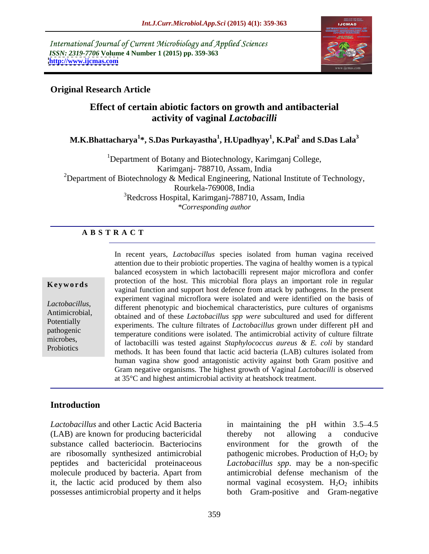International Journal of Current Microbiology and Applied Sciences *ISSN: 2319-7706* **Volume 4 Number 1 (2015) pp. 359-363 <http://www.ijcmas.com>**



### **Original Research Article**

## **Effect of certain abiotic factors on growth and antibacterial activity of vaginal** *Lactobacilli*

### **M.K.Bhattacharya<sup>1</sup> \*, S.Das Purkayastha<sup>1</sup> , H.Upadhyay<sup>1</sup> , K.Pal<sup>2</sup> and S.Das Lala<sup>3</sup>**

<sup>1</sup>Department of Botany and Biotechnology, Karimganj College, Karimganj- 788710, Assam, India <sup>2</sup>Department of Biotechnology & Medical Engineering, National Institute of Technology, Rourkela-769008, India <sup>3</sup>Redcross Hospital, Karimganj-788710, Assam, India *\*Corresponding author* 

### **A B S T R A C T**

**Probiotics** 

In recent years, *Lactobacillus* species isolated from human vagina received attention due to their probiotic properties. The vagina of healthy women is a typical balanced ecosystem in which lactobacilli represent major microflora and confer protection of the host. This microbial flora plays an important role in regular **Keywords** protection of the host. This inicrobial flora plays an important fole in regular vaginal function and support host defence from attack by pathogens. In the present experiment vaginal microflora were isolated and were identified on the basis of *Lactobacillus*,<br>
different phenotypic and biochemical characteristics, pure cultures of organisms<br>
Antimicrobial,<br>
obtained and of these Lactobacillus spn were subcultured and used for different obtained and of these *Lactobacillus spp were* subcultured and used for different Potentially<br>
experiments. The culture filtrates of *Lactobacillus* grown under different pH and pathogenic temperature conditions were isolated. The antimicrobial activity of culture filtrate microbes, of lactobacilli was tested against *Staphylococcus aureus* & *E. coli* by standard methods. It has been found that lactic acid bacteria (LAB) cultures isolated from human vagina show good antagonistic activity against both Gram positive and Gram negative organisms. The highest growth of Vaginal *Lactobacilli* is observed at 35°C and highest antimicrobial activity at heatshock treatment.

### **Introduction**

(LAB) are known for producing bactericidal molecule produced by bacteria. Apart from antimicrobial defense mechanism of the possesses antimicrobial property and it helps both Gram-positive and Gram-negative

Lactobacillus and other Lactic Acid Bacteria in maintaining the pH within 3.5–4.5 substance called bacteriocin. Bacteriocins environment for the growth of the are ribosomally synthesized antimicrobial pathogenic microbes. Production of  $H_2O_2$  by peptides and bactericidal proteinaceous *Lactobacillus spp*. may be a non-specific it, the lactic acid produced by them also a normal vaginal ecosystem.  $H_2O_2$  inhibits thereby not allowing a conducive antimicrobial defense mechanism of the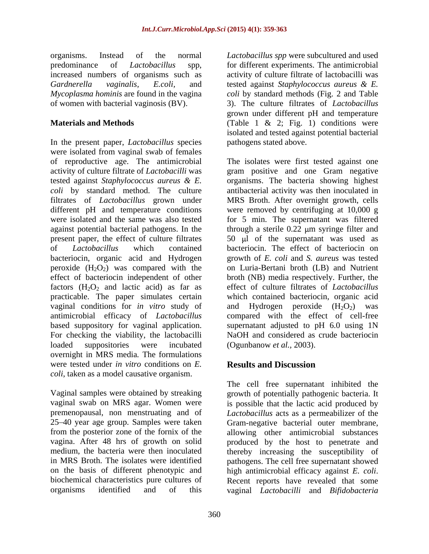organisms. Instead of the normal *Lactobacillus spp* were subcultured and used predominance of *Lactobacillus* spp, for different experiments. The antimicrobial increased numbers of organisms such as activity of culture filtrate of lactobacilli was *Gardnerella vaginalis, E.coli,* and tested against *Staphylococcus aureus & E. Mycoplasma hominis* are found in the vagina *coli* by standard methods (Fig. 2 and Table of women with bacterial vaginosis (BV). 3). The culture filtrates of *Lactobacillus*

In the present paper, *Lactobacillus* species were isolated from vaginal swab of females peroxide  $(H_2O_2)$  was compared with the effect of bacteriocin independent of other vaginal conditions for *in vitro* study of antimicrobial efficacy of *Lactobacillus* overnight in MRS media*.* The formulations were tested under *in vitro* conditions on *E. coli*, taken as a model causative organism.

on the basis of different phenotypic and<br>biochemical characteristics pure cultures of Recent reports have revealed that some

**Materials and Methods Cable 1 & 2; Fig. 1)** conditions were grown under different pH and temperature isolated and tested against potential bacterial pathogens stated above.

of reproductive age. The antimicrobial The isolates were first tested against one activity of culture filtrate of *Lactobacilli* was gram positive and one Gram negative tested against *Staphylococcus aureus & E.* organisms. The bacteria showing highest *coli* by standard method. The culture antibacterial activity was then inoculated in filtrates of *Lactobacillus* grown under MRS Broth. After overnight growth, cells different pH and temperature conditions were removed by centrifuging at 10,000 g were isolated and the same was also tested for 5 min. The supernatant was filtered against potential bacterial pathogens. In the through a sterile 0.22  $\mu$ m syringe filter and present paper, the effect of culture filtrates  $\qquad 50$   $\mu$ l of the supernatant was used as of *Lactobacillus* which contained bacteriocin. The effect of bacteriocin on bacteriocin, organic acid and Hydrogen growth of *E. coli* and *S. aureus* was tested effect of bacteriocin independent of other broth (NB) media respectively. Further, the factors (H<sub>2</sub>O<sub>2</sub> and lactic acid) as far as effect of culture filtrates of *Lactobacillus* practicable. The paper simulates certain which contained bacteriocin, organic acid based suppository for vaginal application. Supernatant adjusted to pH 6.0 using 1N For checking the viability, the lactobacilli NaOH and considered as crude bacteriocin loaded suppositories were incubated (Ogunbanow *et al.*, 2003). on Luria-Bertani broth (LB) and Nutrient and Hydrogen peroxide  $(H_2O_2)$ compared with the effect of cell-free (Ogunbanow *et al.,* 2003).

# **Results and Discussion**

Vaginal samples were obtained by streaking growth of potentially pathogenic bacteria. It vaginal swab on MRS agar. Women were is possible that the lactic acid produced by premenopausal, non menstruating and of *Lactobacillus* acts as a permeabilizer of the 25 40 year age group. Samples were taken Gram-negative bacterial outer membrane, from the posterior zone of the fornix of the allowing other antimicrobial substances vagina. After 48 hrs of growth on solid produced by the host to penetrate and medium, the bacteria were then inoculated thereby increasing the susceptibility of in MRS Broth. The isolates were identified pathogens. The cell free supernatant showed Recent reports have revealed that some organisms identified and of this vaginal *Lactobacilli* and *Bifidobacteria*The cell free supernatant inhibited the high antimicrobial efficacy against *E. coli*. Recent reports have revealed that some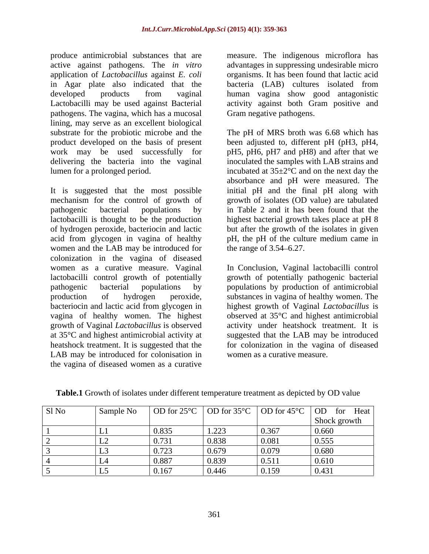produce antimicrobial substances that are measure. The indigenous microflora has active against pathogens. The *in vitro* advantages in suppressing undesirable micro application of *Lactobacillus* against *E. coli* in Agar plate also indicated that the bacteria (LAB) cultures isolated from developed products from vaginal human vagina show good antagonistic Lactobacilli may be used against Bacterial activity against both Gram positive and pathogens. The vagina, which has a mucosal lining, may serve as an excellent biological delivering the bacteria into the vaginal

It is suggested that the most possible women and the LAB may be introduced for the range of 3.54–6.27. colonization in the vagina of diseased women as a curative measure. Vaginal In Conclusion, Vaginal lactobacilli control lactobacilli control growth of potentially growth of potentially pathogenic bacterial pathogenic bacterial populations by populations by production of antimicrobial production of hydrogen peroxide, substances in vagina of healthy women. The bacteriocin and lactic acid from glycogen in highest growth of Vaginal *Lactobacillus* is vagina of healthy women. The highest observed at 35°C and highest antimicrobial growth of Vaginal *Lactobacillus* is observed activity under heatshock treatment. It is at 35°C and highest antimicrobial activity at suggested that the LAB may be introduced heatshock treatment. It is suggested that the LAB may be introduced for colonisation in the vagina of diseased women as a curative

organisms. It has been found that lactic acid Gram negative pathogens.

substrate for the probiotic microbe and the The pH of MRS broth was 6.68 which has product developed on the basis of present been adjusted to, different pH (pH3, pH4, work may be used successfully for pH5, pH6, pH7 and pH8) and after that we lumen for a prolonged period. incubated at 35±2°C and on the next day the mechanism for the control of growth of growth of isolates (OD value) are tabulated pathogenic bacterial populations by in Table 2 and it has been found that the lactobacilli is thought to be the production highest bacterial growth takes place at pH 8 of hydrogen peroxide, bacteriocin and lactic but after the growth of the isolatesin given acid from glycogen in vagina of healthy pH, the pH of the culture medium came in inoculated the samples with LAB strains and absorbance and pH were measured. The initial pH and the final pH along with the range of  $3.54 - 6.27$ .

> for colonization in the vagina of diseased women as a curative measure.

| Sl No | Sample No | $\overline{OD}$ for 25 $\degree$ C |                |                | $\circ$   OD for 35 °C   OD for 45 °C   OD for Heat |
|-------|-----------|------------------------------------|----------------|----------------|-----------------------------------------------------|
|       |           |                                    |                |                | Shock growth                                        |
|       |           | 0.835                              | 1.222<br>1.44J | 0.267<br>0.307 | 0.660                                               |
|       |           | 0.731                              | 0.838          | 0.081          | 0.555                                               |
|       |           | 0.723                              | 0.679          | 0.079          | 0.680                                               |
|       |           | 0.887                              | 0.839          | 0.511          | 0.610                                               |
|       |           | 0.167                              | 0.446          | 0.159          | 0.431                                               |

**Table.1** Growth of isolates under different temperature treatment as depicted by OD value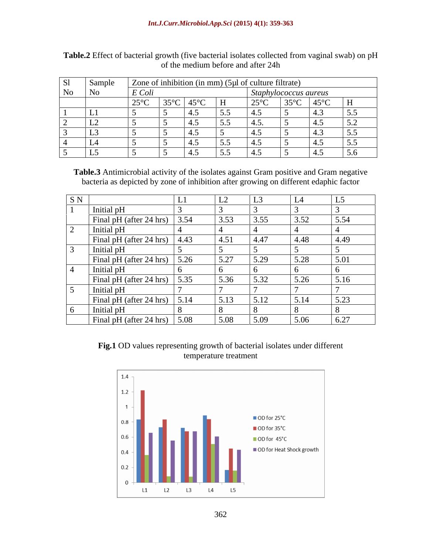| $\vert$ S <sub>1</sub> | Sample                      |                     |      |           |                                                   | Zone of inhibition (in mm) $(5\mu l)$ of culture filtrate) |                     |                        |                 |  |  |
|------------------------|-----------------------------|---------------------|------|-----------|---------------------------------------------------|------------------------------------------------------------|---------------------|------------------------|-----------------|--|--|
| No                     | $\overline{\phantom{1}}$ No | $E\,Col^{\dagger}$  |      |           |                                                   |                                                            | iphylococcus aureus |                        |                 |  |  |
|                        |                             | $\overline{\Omega}$ | 350C | 450C<br>. | $\overline{\phantom{a}}$ $\overline{\phantom{a}}$ | $\sqrt{250}$                                               | $35^{\circ}$ C      | $45^{\circ}$ C         |                 |  |  |
|                        |                             |                     |      |           | $  -$                                             |                                                            |                     | -45                    |                 |  |  |
|                        |                             |                     |      |           | $  -$                                             |                                                            |                     | $\overline{A}$         | 50 <sub>2</sub> |  |  |
|                        |                             |                     |      |           |                                                   |                                                            |                     |                        |                 |  |  |
|                        |                             |                     |      |           | - -                                               |                                                            |                     | $\sim$ 4.1             |                 |  |  |
|                        |                             |                     |      |           | 55                                                |                                                            |                     | $\boldsymbol{\Lambda}$ | - -             |  |  |

**Table.2** Effect of bacterial growth (five bacterial isolates collected from vaginal swab) on pH of the medium before and after 24h

**Table.3** Antimicrobial activity of the isolates against Gram positive and Gram negative bacteria as depicted by zone of inhibition after growing on different edaphic factor

| SN |                                      | $\overline{1}$<br>⊷ | L3   |      | ◡    |
|----|--------------------------------------|---------------------|------|------|------|
|    | Initial pH                           |                     |      |      |      |
|    | Final pH (after 24 hrs) $\vert$ 3.54 | 3.53                | 3.55 | 3.52 | 5.54 |
|    | Initial pH                           |                     |      |      |      |
|    | Final pH (after 24 hrs) $\vert$ 4.43 | 4.51                | 4.47 | 4.48 | 4.49 |
|    | Initial pH                           |                     |      |      |      |
|    | Final pH (after 24 hrs) $\vert$ 5.26 | 5.27                | 5.29 | 5.28 | 5.01 |
|    | Initial pH                           |                     |      |      |      |
|    | Final pH (after 24 hrs) $\vert$ 5.35 | 5.36                | 5.32 | 5.26 | 5.16 |
|    | Initial pH                           |                     |      |      |      |
|    | Final pH (after 24 hrs) $\vert$ 5.14 | 5.13                | 5.12 | 5.14 | 5.23 |
|    | Initial pH                           |                     |      |      |      |
|    | Final pH (after 24 hrs) $\vert$ 5.08 | 5.08                | 5.09 | 5.06 | 6.27 |

**Fig.1** OD values representing growth of bacterial isolates under different temperature treatment